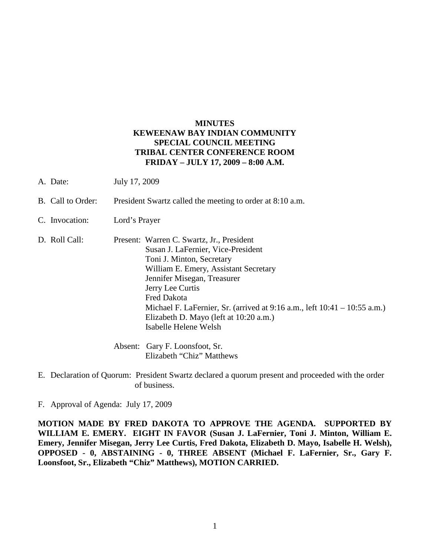## **MINUTES KEWEENAW BAY INDIAN COMMUNITY SPECIAL COUNCIL MEETING TRIBAL CENTER CONFERENCE ROOM FRIDAY – JULY 17, 2009 – 8:00 A.M.**

- A. Date: July 17, 2009
- B. Call to Order: President Swartz called the meeting to order at 8:10 a.m.
- C. Invocation: Lord's Prayer
- D. Roll Call: Present: Warren C. Swartz, Jr., President Susan J. LaFernier, Vice-President Toni J. Minton, Secretary William E. Emery, Assistant Secretary Jennifer Misegan, Treasurer Jerry Lee Curtis Fred Dakota Michael F. LaFernier, Sr. (arrived at 9:16 a.m., left 10:41 – 10:55 a.m.) Elizabeth D. Mayo (left at 10:20 a.m.) Isabelle Helene Welsh

Absent: Gary F. Loonsfoot, Sr. Elizabeth "Chiz" Matthews

E. Declaration of Quorum: President Swartz declared a quorum present and proceeded with the order of business.

F. Approval of Agenda: July 17, 2009

**MOTION MADE BY FRED DAKOTA TO APPROVE THE AGENDA. SUPPORTED BY WILLIAM E. EMERY. EIGHT IN FAVOR (Susan J. LaFernier, Toni J. Minton, William E. Emery, Jennifer Misegan, Jerry Lee Curtis, Fred Dakota, Elizabeth D. Mayo, Isabelle H. Welsh), OPPOSED - 0, ABSTAINING - 0, THREE ABSENT (Michael F. LaFernier, Sr., Gary F. Loonsfoot, Sr., Elizabeth "Chiz" Matthews), MOTION CARRIED.**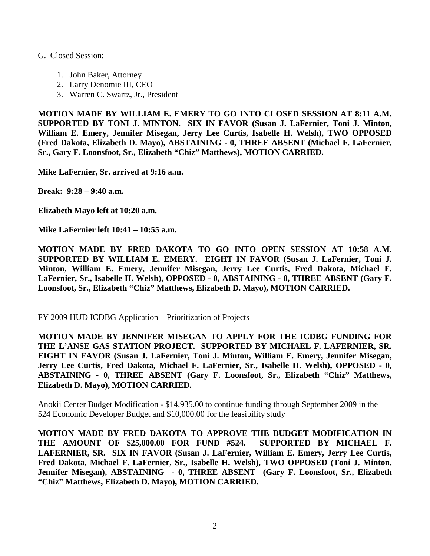## G. Closed Session:

- 1. John Baker, Attorney
- 2. Larry Denomie III, CEO
- 3. Warren C. Swartz, Jr., President

**MOTION MADE BY WILLIAM E. EMERY TO GO INTO CLOSED SESSION AT 8:11 A.M. SUPPORTED BY TONI J. MINTON. SIX IN FAVOR (Susan J. LaFernier, Toni J. Minton, William E. Emery, Jennifer Misegan, Jerry Lee Curtis, Isabelle H. Welsh), TWO OPPOSED (Fred Dakota, Elizabeth D. Mayo), ABSTAINING - 0, THREE ABSENT (Michael F. LaFernier, Sr., Gary F. Loonsfoot, Sr., Elizabeth "Chiz" Matthews), MOTION CARRIED.**

**Mike LaFernier, Sr. arrived at 9:16 a.m.**

**Break: 9:28 – 9:40 a.m.**

**Elizabeth Mayo left at 10:20 a.m.**

**Mike LaFernier left 10:41 – 10:55 a.m.**

**MOTION MADE BY FRED DAKOTA TO GO INTO OPEN SESSION AT 10:58 A.M. SUPPORTED BY WILLIAM E. EMERY. EIGHT IN FAVOR (Susan J. LaFernier, Toni J. Minton, William E. Emery, Jennifer Misegan, Jerry Lee Curtis, Fred Dakota, Michael F. LaFernier, Sr., Isabelle H. Welsh), OPPOSED - 0, ABSTAINING - 0, THREE ABSENT (Gary F. Loonsfoot, Sr., Elizabeth "Chiz" Matthews, Elizabeth D. Mayo), MOTION CARRIED.**

FY 2009 HUD ICDBG Application – Prioritization of Projects

**MOTION MADE BY JENNIFER MISEGAN TO APPLY FOR THE ICDBG FUNDING FOR THE L'ANSE GAS STATION PROJECT. SUPPORTED BY MICHAEL F. LAFERNIER, SR. EIGHT IN FAVOR (Susan J. LaFernier, Toni J. Minton, William E. Emery, Jennifer Misegan, Jerry Lee Curtis, Fred Dakota, Michael F. LaFernier, Sr., Isabelle H. Welsh), OPPOSED - 0, ABSTAINING - 0, THREE ABSENT (Gary F. Loonsfoot, Sr., Elizabeth "Chiz" Matthews, Elizabeth D. Mayo), MOTION CARRIED.**

Anokii Center Budget Modification - \$14,935.00 to continue funding through September 2009 in the 524 Economic Developer Budget and \$10,000.00 for the feasibility study

**MOTION MADE BY FRED DAKOTA TO APPROVE THE BUDGET MODIFICATION IN THE AMOUNT OF \$25,000.00 FOR FUND #524. SUPPORTED BY MICHAEL F. LAFERNIER, SR. SIX IN FAVOR (Susan J. LaFernier, William E. Emery, Jerry Lee Curtis, Fred Dakota, Michael F. LaFernier, Sr., Isabelle H. Welsh), TWO OPPOSED (Toni J. Minton, Jennifer Misegan), ABSTAINING - 0, THREE ABSENT (Gary F. Loonsfoot, Sr., Elizabeth "Chiz" Matthews, Elizabeth D. Mayo), MOTION CARRIED.**